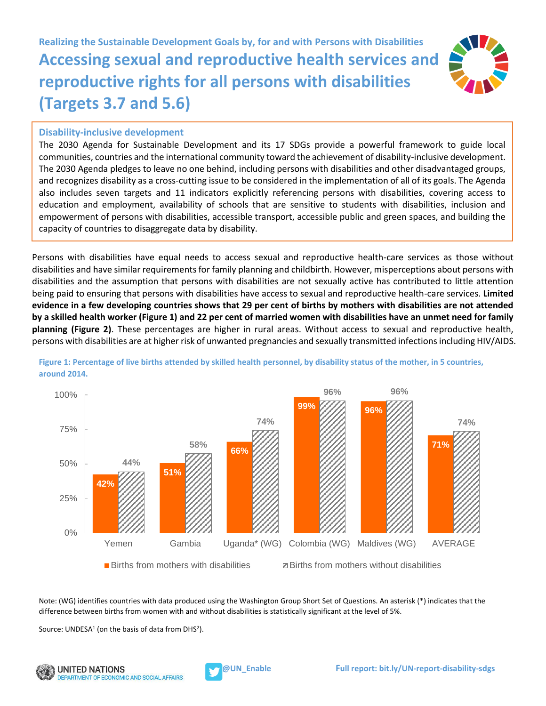**Realizing the Sustainable Development Goals by, for and with Persons with Disabilities Accessing sexual and reproductive health services and reproductive rights for all persons with disabilities (Targets 3.7 and 5.6)**



## **Disability-inclusive development**

The 2030 Agenda for Sustainable Development and its 17 SDGs provide a powerful framework to guide local communities, countries and the international community toward the achievement of disability-inclusive development. The 2030 Agenda pledges to leave no one behind, including persons with disabilities and other disadvantaged groups, and recognizes disability as a cross-cutting issue to be considered in the implementation of all of its goals. The Agenda also includes seven targets and 11 indicators explicitly referencing persons with disabilities, covering access to education and employment, availability of schools that are sensitive to students with disabilities, inclusion and empowerment of persons with disabilities, accessible transport, accessible public and green spaces, and building the capacity of countries to disaggregate data by disability.

Persons with disabilities have equal needs to access sexual and reproductive health-care services as those without disabilities and have similar requirements for family planning and childbirth. However, misperceptions about persons with disabilities and the assumption that persons with disabilities are not sexually active has contributed to little attention being paid to ensuring that persons with disabilities have access to sexual and reproductive health-care services. **Limited evidence in a few developing countries shows that 29 per cent of births by mothers with disabilities are not attended by a skilled health worker (Figure 1) and 22 per cent of married women with disabilities have an unmet need for family planning (Figure 2)**. These percentages are higher in rural areas. Without access to sexual and reproductive health, persons with disabilities are at higher risk of unwanted pregnancies and sexually transmitted infections including HIV/AIDS.



**Figure 1: Percentage of live births attended by skilled health personnel, by disability status of the mother, in 5 countries, around 2014.**

Note: (WG) identifies countries with data produced using the Washington Group Short Set of Questions. An asterisk (\*) indicates that the difference between births from women with and without disabilities is statistically significant at the level of 5%.

Source: UNDESA<sup>1</sup> (on the basis of data from DHS<sup>2</sup>).